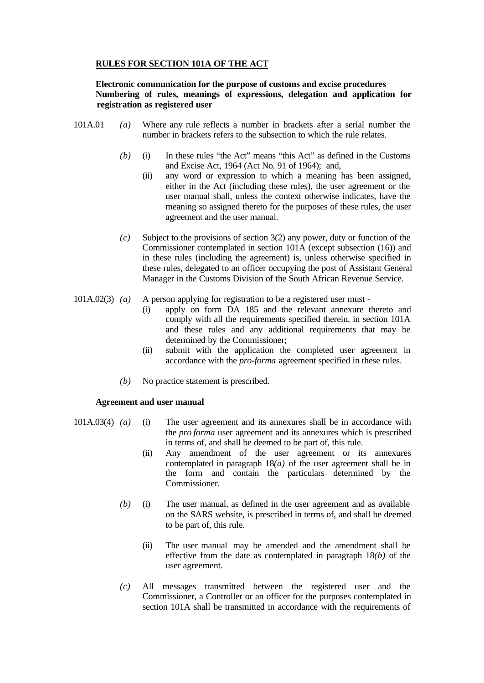# **RULES FOR SECTION 101A OF THE ACT**

## **Electronic communication for the purpose of customs and excise procedures Numbering of rules, meanings of expressions, delegation and application for registration as registered user**

- 101A.01 *(a)* Where any rule reflects a number in brackets after a serial number the number in brackets refers to the subsection to which the rule relates.
	- *(b)* (i) In these rules "the Act" means "this Act" as defined in the Customs and Excise Act, 1964 (Act No. 91 of 1964); and,
		- (ii) any word or expression to which a meaning has been assigned, either in the Act (including these rules), the user agreement or the user manual shall, unless the context otherwise indicates, have the meaning so assigned thereto for the purposes of these rules, the user agreement and the user manual.
	- *(c)* Subject to the provisions of section 3(2) any power, duty or function of the Commissioner contemplated in section 101A (except subsection (16)) and in these rules (including the agreement) is, unless otherwise specified in these rules, delegated to an officer occupying the post of Assistant General Manager in the Customs Division of the South African Revenue Service.
- 101A.02(3) *(a)* A person applying for registration to be a registered user must
	- (i) apply on form DA 185 and the relevant annexure thereto and comply with all the requirements specified therein, in section 101A and these rules and any additional requirements that may be determined by the Commissioner;
	- (ii) submit with the application the completed user agreement in accordance with the *pro-forma* agreement specified in these rules.
	- *(b)* No practice statement is prescribed.

# **Agreement and user manual**

- 101A.03(4) *(a)* (i) The user agreement and its annexures shall be in accordance with the *pro forma* user agreement and its annexures which is prescribed in terms of, and shall be deemed to be part of, this rule.
	- (ii) Any amendment of the user agreement or its annexures contemplated in paragraph 18*(a)* of the user agreement shall be in the form and contain the particulars determined by the Commissioner.
	- *(b)* (i) The user manual, as defined in the user agreement and as available on the SARS website, is prescribed in terms of, and shall be deemed to be part of, this rule.
		- (ii) The user manual may be amended and the amendment shall be effective from the date as contemplated in paragraph 18*(b)* of the user agreement.
	- *(c)* All messages transmitted between the registered user and the Commissioner, a Controller or an officer for the purposes contemplated in section 101A shall be transmitted in accordance with the requirements of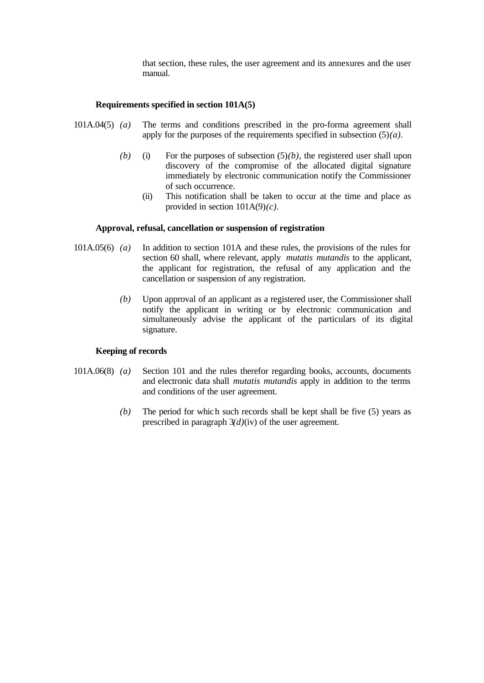that section, these rules, the user agreement and its annexures and the user manual.

# **Requirements specified in section 101A(5)**

- 101A.04(5) *(a)* The terms and conditions prescribed in the pro-forma agreement shall apply for the purposes of the requirements specified in subsection (5)*(a)*.
	- (b) (i) For the purposes of subsection  $(5)(b)$ , the registered user shall upon discovery of the compromise of the allocated digital signature immediately by electronic communication notify the Commissioner of such occurrence.
		- (ii) This notification shall be taken to occur at the time and place as provided in section 101A(9)*(c)*.

#### **Approval, refusal, cancellation or suspension of registration**

- 101A.05(6) *(a)* In addition to section 101A and these rules, the provisions of the rules for section 60 shall, where relevant, apply *mutatis mutandis* to the applicant, the applicant for registration, the refusal of any application and the cancellation or suspension of any registration.
	- *(b)* Upon approval of an applicant as a registered user, the Commissioner shall notify the applicant in writing or by electronic communication and simultaneously advise the applicant of the particulars of its digital signature.

#### **Keeping of records**

- 101A.06(8) *(a)* Section 101 and the rules therefor regarding books, accounts, documents and electronic data shall *mutatis mutandis* apply in addition to the terms and conditions of the user agreement.
	- *(b)* The period for which such records shall be kept shall be five (5) years as prescribed in paragraph 3*(d)*(iv) of the user agreement.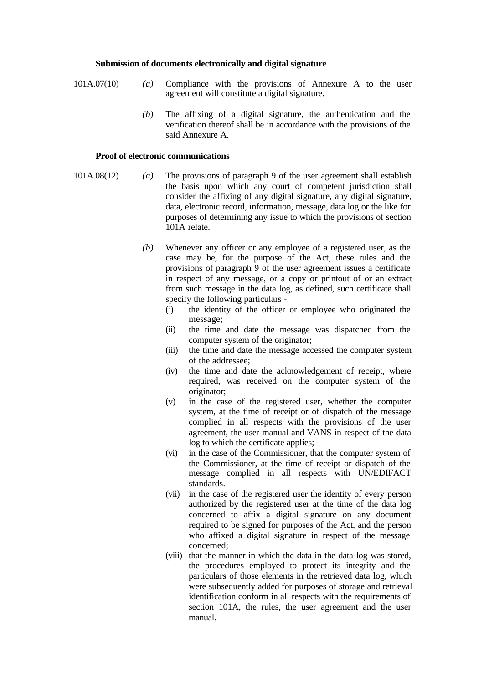#### **Submission of documents electronically and digital signature**

- 101A.07(10) *(a)* Compliance with the provisions of Annexure A to the user agreement will constitute a digital signature.
	- *(b)* The affixing of a digital signature, the authentication and the verification thereof shall be in accordance with the provisions of the said Annexure A.

#### **Proof of electronic communications**

- 101A.08(12) *(a)* The provisions of paragraph 9 of the user agreement shall establish the basis upon which any court of competent jurisdiction shall consider the affixing of any digital signature, any digital signature, data, electronic record, information, message, data log or the like for purposes of determining any issue to which the provisions of section 101A relate.
	- *(b)* Whenever any officer or any employee of a registered user, as the case may be, for the purpose of the Act, these rules and the provisions of paragraph 9 of the user agreement issues a certificate in respect of any message, or a copy or printout of or an extract from such message in the data log, as defined, such certificate shall specify the following particulars -
		- (i) the identity of the officer or employee who originated the message;
		- (ii) the time and date the message was dispatched from the computer system of the originator;
		- (iii) the time and date the message accessed the computer system of the addressee;
		- (iv) the time and date the acknowledgement of receipt, where required, was received on the computer system of the originator;
		- (v) in the case of the registered user, whether the computer system, at the time of receipt or of dispatch of the message complied in all respects with the provisions of the user agreement, the user manual and VANS in respect of the data log to which the certificate applies;
		- (vi) in the case of the Commissioner, that the computer system of the Commissioner, at the time of receipt or dispatch of the message complied in all respects with UN/EDIFACT standards.
		- (vii) in the case of the registered user the identity of every person authorized by the registered user at the time of the data log concerned to affix a digital signature on any document required to be signed for purposes of the Act, and the person who affixed a digital signature in respect of the message concerned;
		- (viii) that the manner in which the data in the data log was stored, the procedures employed to protect its integrity and the particulars of those elements in the retrieved data log, which were subsequently added for purposes of storage and retrieval identification conform in all respects with the requirements of section 101A, the rules, the user agreement and the user manual.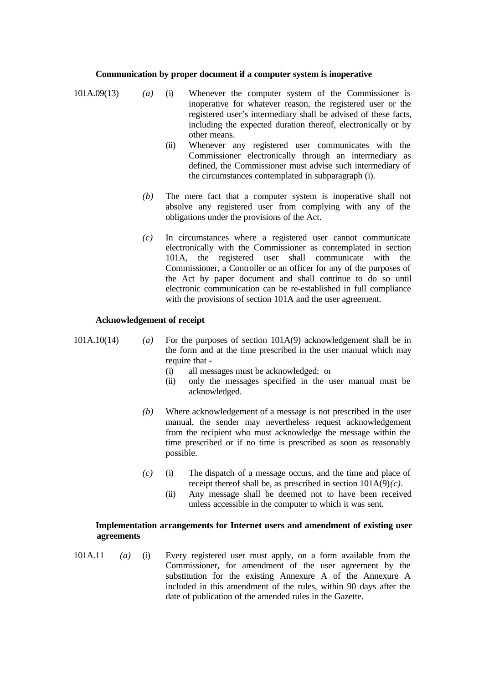### **Communication by proper document if a computer system is inoperative**

- 101A.09(13) *(a)* (i) Whenever the computer system of the Commissioner is inoperative for whatever reason, the registered user or the registered user's intermediary shall be advised of these facts, including the expected duration thereof, electronically or by other means.
	- (ii) Whenever any registered user communicates with the Commissioner electronically through an intermediary as defined, the Commissioner must advise such intermediary of the circumstances contemplated in subparagraph (i).
	- *(b)* The mere fact that a computer system is inoperative shall not absolve any registered user from complying with any of the obligations under the provisions of the Act.
	- *(c)* In circumstances where a registered user cannot communicate electronically with the Commissioner as contemplated in section 101A, the registered user shall communicate with the Commissioner, a Controller or an officer for any of the purposes of the Act by paper document and shall continue to do so until electronic communication can be re-established in full compliance with the provisions of section 101A and the user agreement.

## **Acknowledgement of receipt**

101A.10(14) *(a)* For the purposes of section 101A(9) acknowledgement shall be in the form and at the time prescribed in the user manual which may require that -

- (i) all messages must be acknowledged; or
- (ii) only the messages specified in the user manual must be acknowledged.
- *(b)* Where acknowledgement of a message is not prescribed in the user manual, the sender may nevertheless request acknowledgement from the recipient who must acknowledge the message within the time prescribed or if no time is prescribed as soon as reasonably possible.
- *(c)* (i) The dispatch of a message occurs, and the time and place of receipt thereof shall be, as prescribed in section  $101A(9)(c)$ .
	- (ii) Any message shall be deemed not to have been received unless accessible in the computer to which it was sent.

### **Implementation arrangements for Internet users and amendment of existing user agreements**

101A.11 *(a)* (i) Every registered user must apply, on a form available from the Commissioner, for amendment of the user agreement by the substitution for the existing Annexure A of the Annexure A included in this amendment of the rules, within 90 days after the date of publication of the amended rules in the Gazette.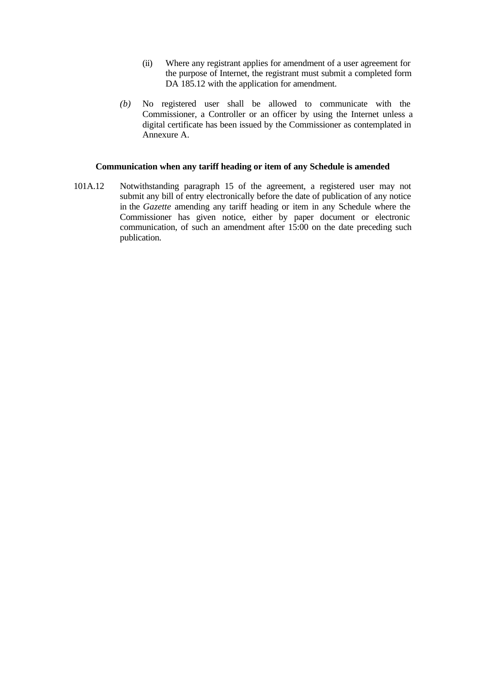- (ii) Where any registrant applies for amendment of a user agreement for the purpose of Internet, the registrant must submit a completed form DA 185.12 with the application for amendment.
- *(b)* No registered user shall be allowed to communicate with the Commissioner, a Controller or an officer by using the Internet unless a digital certificate has been issued by the Commissioner as contemplated in Annexure A.

## **Communication when any tariff heading or item of any Schedule is amended**

101A.12 Notwithstanding paragraph 15 of the agreement, a registered user may not submit any bill of entry electronically before the date of publication of any notice in the *Gazette* amending any tariff heading or item in any Schedule where the Commissioner has given notice, either by paper document or electronic communication, of such an amendment after 15:00 on the date preceding such publication.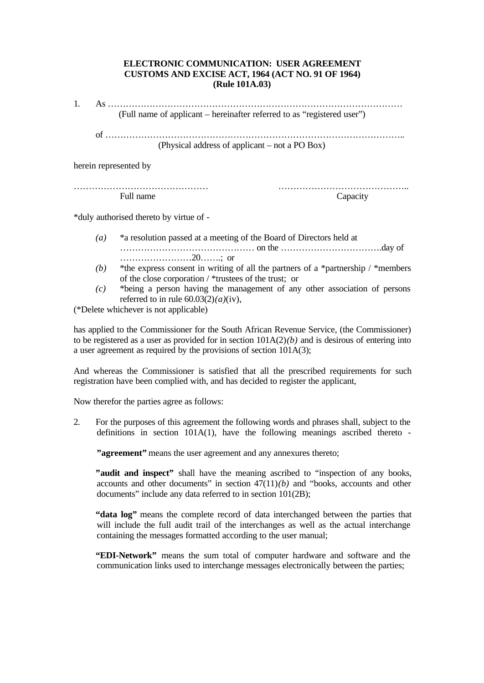# **ELECTRONIC COMMUNICATION: USER AGREEMENT CUSTOMS AND EXCISE ACT, 1964 (ACT NO. 91 OF 1964) (Rule 101A.03)**

1. As ……………………………………………………………………………………… (Full name of applicant – hereinafter referred to as "registered user")

of ……………………………………………………………………………………….. (Physical address of applicant – not a PO Box)

herein represented by

……………………………………… …………………………………….. Full name Capacity

\*duly authorised thereto by virtue of -

- *(a)* \*a resolution passed at a meeting of the Board of Directors held at ……………………………………… on the …………………………….day of ……………………20…….; or
- *(b)* \*the express consent in writing of all the partners of a \*partnership / \*members of the close corporation / \*trustees of the trust; or
- *(c)* \*being a person having the management of any other association of persons referred to in rule  $60.03(2)(a)(iv)$ ,

(\*Delete whichever is not applicable)

has applied to the Commissioner for the South African Revenue Service, (the Commissioner) to be registered as a user as provided for in section 101A(2)*(b)* and is desirous of entering into a user agreement as required by the provisions of section 101A(3);

And whereas the Commissioner is satisfied that all the prescribed requirements for such registration have been complied with, and has decided to register the applicant,

Now therefor the parties agree as follows:

2. For the purposes of this agreement the following words and phrases shall, subject to the definitions in section 101A(1), have the following meanings ascribed thereto -

**"agreement"** means the user agreement and any annexures thereto;

**"audit and inspect"** shall have the meaning ascribed to "inspection of any books, accounts and other documents" in section  $47(11)(b)$  and "books, accounts and other documents" include any data referred to in section 101(2B);

**"data log"** means the complete record of data interchanged between the parties that will include the full audit trail of the interchanges as well as the actual interchange containing the messages formatted according to the user manual;

**"EDI-Network"** means the sum total of computer hardware and software and the communication links used to interchange messages electronically between the parties;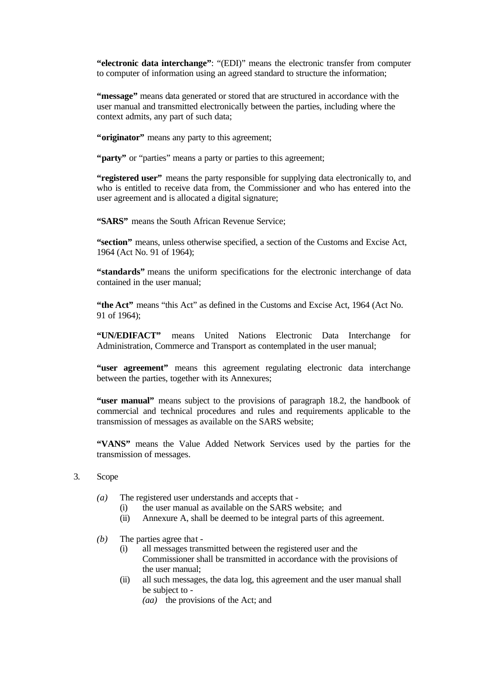**"electronic data interchange"**: "(EDI)" means the electronic transfer from computer to computer of information using an agreed standard to structure the information;

**"message"** means data generated or stored that are structured in accordance with the user manual and transmitted electronically between the parties, including where the context admits, any part of such data;

"**originator**" means any party to this agreement;

"**party**" or "parties" means a party or parties to this agreement;

**"registered user"** means the party responsible for supplying data electronically to, and who is entitled to receive data from, the Commissioner and who has entered into the user agreement and is allocated a digital signature;

**"SARS"** means the South African Revenue Service;

**"section"** means, unless otherwise specified, a section of the Customs and Excise Act, 1964 (Act No. 91 of 1964);

**"standards"** means the uniform specifications for the electronic interchange of data contained in the user manual;

**"the Act"** means "this Act" as defined in the Customs and Excise Act, 1964 (Act No. 91 of 1964);

**"UN/EDIFACT"** means United Nations Electronic Data Interchange for Administration, Commerce and Transport as contemplated in the user manual;

**"user agreement"** means this agreement regulating electronic data interchange between the parties, together with its Annexures;

**"user manual"** means subject to the provisions of paragraph 18.2, the handbook of commercial and technical procedures and rules and requirements applicable to the transmission of messages as available on the SARS website;

**"VANS"** means the Value Added Network Services used by the parties for the transmission of messages.

- 3. Scope
	- *(a)* The registered user understands and accepts that
		- (i) the user manual as available on the SARS website; and
		- (ii) Annexure A, shall be deemed to be integral parts of this agreement.
	- *(b)* The parties agree that
		- (i) all messages transmitted between the registered user and the Commissioner shall be transmitted in accordance with the provisions of the user manual;
		- (ii) all such messages, the data log, this agreement and the user manual shall be subject to -
			- *(aa)* the provisions of the Act; and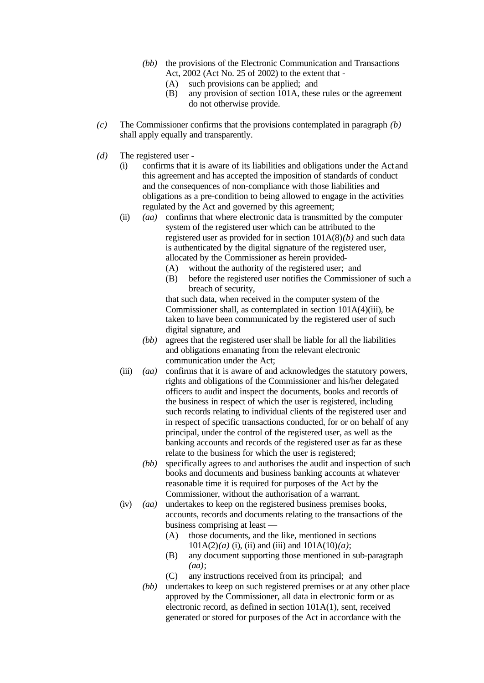- *(bb)* the provisions of the Electronic Communication and Transactions Act, 2002 (Act No. 25 of 2002) to the extent that -
	- (A) such provisions can be applied; and
	- (B) any provision of section 101A, these rules or the agreement do not otherwise provide.
- *(c)* The Commissioner confirms that the provisions contemplated in paragraph *(b)* shall apply equally and transparently.
- *(d)* The registered user
	- (i) confirms that it is aware of its liabilities and obligations under the Act and this agreement and has accepted the imposition of standards of conduct and the consequences of non-compliance with those liabilities and obligations as a pre-condition to being allowed to engage in the activities regulated by the Act and governed by this agreement;
	- (ii) *(aa)* confirms that where electronic data is transmitted by the computer system of the registered user which can be attributed to the registered user as provided for in section 101A(8)*(b)* and such data is authenticated by the digital signature of the registered user, allocated by the Commissioner as herein provided-
		- (A) without the authority of the registered user; and
		- (B) before the registered user notifies the Commissioner of such a breach of security,

that such data, when received in the computer system of the Commissioner shall, as contemplated in section 101A(4)(iii), be taken to have been communicated by the registered user of such digital signature, and

- *(bb)* agrees that the registered user shall be liable for all the liabilities and obligations emanating from the relevant electronic communication under the Act;
- (iii) *(aa)* confirms that it is aware of and acknowledges the statutory powers, rights and obligations of the Commissioner and his/her delegated officers to audit and inspect the documents, books and records of the business in respect of which the user is registered, including such records relating to individual clients of the registered user and in respect of specific transactions conducted, for or on behalf of any principal, under the control of the registered user, as well as the banking accounts and records of the registered user as far as these relate to the business for which the user is registered;
	- *(bb)* specifically agrees to and authorises the audit and inspection of such books and documents and business banking accounts at whatever reasonable time it is required for purposes of the Act by the Commissioner, without the authorisation of a warrant.
- (iv) *(aa)* undertakes to keep on the registered business premises books, accounts, records and documents relating to the transactions of the business comprising at least —
	- (A) those documents, and the like, mentioned in sections  $101A(2)(a)$  (i), (ii) and (iii) and  $101A(10)(a)$ ;
	- (B) any document supporting those mentioned in sub-paragraph *(aa)*;
	- (C) any instructions received from its principal; and
	- *(bb)* undertakes to keep on such registered premises or at any other place approved by the Commissioner, all data in electronic form or as electronic record, as defined in section 101A(1), sent, received generated or stored for purposes of the Act in accordance with the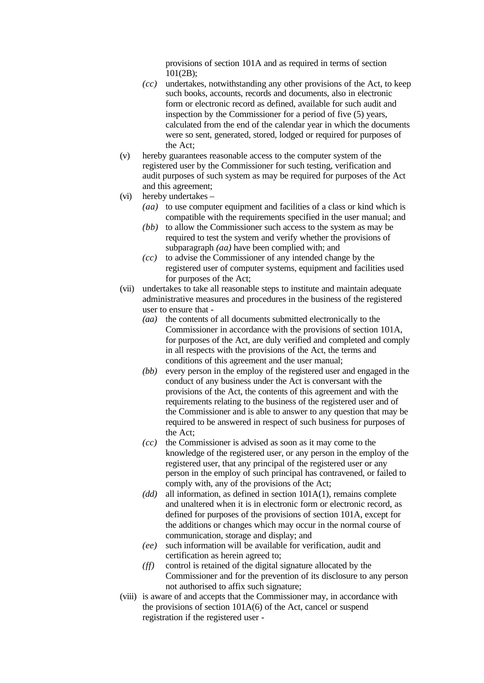provisions of section 101A and as required in terms of section 101(2B);

- *(cc)* undertakes, notwithstanding any other provisions of the Act, to keep such books, accounts, records and documents, also in electronic form or electronic record as defined, available for such audit and inspection by the Commissioner for a period of five (5) years, calculated from the end of the calendar year in which the documents were so sent, generated, stored, lodged or required for purposes of the Act;
- (v) hereby guarantees reasonable access to the computer system of the registered user by the Commissioner for such testing, verification and audit purposes of such system as may be required for purposes of the Act and this agreement;
- (vi) hereby undertakes
	- *(aa)* to use computer equipment and facilities of a class or kind which is compatible with the requirements specified in the user manual; and
	- *(bb)* to allow the Commissioner such access to the system as may be required to test the system and verify whether the provisions of subparagraph *(aa)* have been complied with; and
	- *(cc)* to advise the Commissioner of any intended change by the registered user of computer systems, equipment and facilities used for purposes of the Act;
- (vii) undertakes to take all reasonable steps to institute and maintain adequate administrative measures and procedures in the business of the registered user to ensure that -
	- *(aa)* the contents of all documents submitted electronically to the Commissioner in accordance with the provisions of section 101A, for purposes of the Act, are duly verified and completed and comply in all respects with the provisions of the Act, the terms and conditions of this agreement and the user manual;
	- *(bb)* every person in the employ of the registered user and engaged in the conduct of any business under the Act is conversant with the provisions of the Act, the contents of this agreement and with the requirements relating to the business of the registered user and of the Commissioner and is able to answer to any question that may be required to be answered in respect of such business for purposes of the Act;
	- *(cc)* the Commissioner is advised as soon as it may come to the knowledge of the registered user, or any person in the employ of the registered user, that any principal of the registered user or any person in the employ of such principal has contravened, or failed to comply with, any of the provisions of the Act;
	- *(dd)* all information, as defined in section 101A(1), remains complete and unaltered when it is in electronic form or electronic record, as defined for purposes of the provisions of section 101A, except for the additions or changes which may occur in the normal course of communication, storage and display; and
	- *(ee)* such information will be available for verification, audit and certification as herein agreed to;
	- *(ff)* control is retained of the digital signature allocated by the Commissioner and for the prevention of its disclosure to any person not authorised to affix such signature;
- (viii) is aware of and accepts that the Commissioner may, in accordance with the provisions of section 101A(6) of the Act, cancel or suspend registration if the registered user -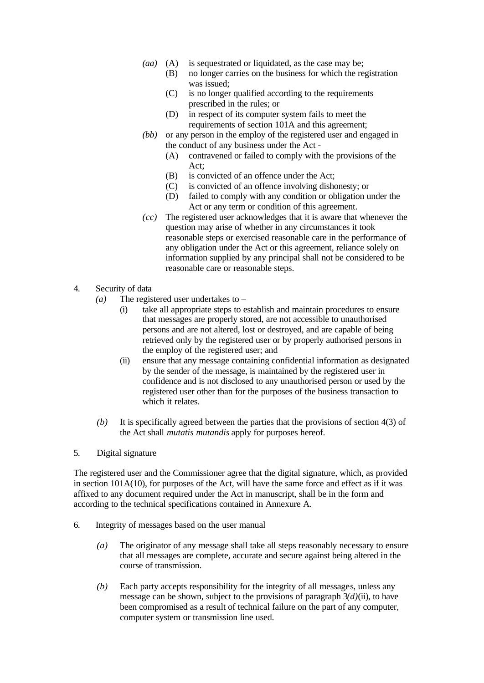- *(aa)* (A) is sequestrated or liquidated, as the case may be;
	- (B) no longer carries on the business for which the registration was issued;
	- (C) is no longer qualified according to the requirements prescribed in the rules; or
	- (D) in respect of its computer system fails to meet the requirements of section 101A and this agreement;
- *(bb)* or any person in the employ of the registered user and engaged in the conduct of any business under the Act -
	- (A) contravened or failed to comply with the provisions of the Act;
	- (B) is convicted of an offence under the Act;
	- (C) is convicted of an offence involving dishonesty; or
	- (D) failed to comply with any condition or obligation under the Act or any term or condition of this agreement.
- *(cc)* The registered user acknowledges that it is aware that whenever the question may arise of whether in any circumstances it took reasonable steps or exercised reasonable care in the performance of any obligation under the Act or this agreement, reliance solely on information supplied by any principal shall not be considered to be reasonable care or reasonable steps.
- 4. Security of data
	- *(a)* The registered user undertakes to
		- (i) take all appropriate steps to establish and maintain procedures to ensure that messages are properly stored, are not accessible to unauthorised persons and are not altered, lost or destroyed, and are capable of being retrieved only by the registered user or by properly authorised persons in the employ of the registered user; and
		- (ii) ensure that any message containing confidential information as designated by the sender of the message, is maintained by the registered user in confidence and is not disclosed to any unauthorised person or used by the registered user other than for the purposes of the business transaction to which it relates
	- *(b)* It is specifically agreed between the parties that the provisions of section 4(3) of the Act shall *mutatis mutandis* apply for purposes hereof.
- 5. Digital signature

The registered user and the Commissioner agree that the digital signature, which, as provided in section 101A(10), for purposes of the Act, will have the same force and effect as if it was affixed to any document required under the Act in manuscript, shall be in the form and according to the technical specifications contained in Annexure A.

- 6. Integrity of messages based on the user manual
	- *(a)* The originator of any message shall take all steps reasonably necessary to ensure that all messages are complete, accurate and secure against being altered in the course of transmission.
	- *(b)* Each party accepts responsibility for the integrity of all messages, unless any message can be shown, subject to the provisions of paragraph 3*(d)*(ii), to have been compromised as a result of technical failure on the part of any computer, computer system or transmission line used.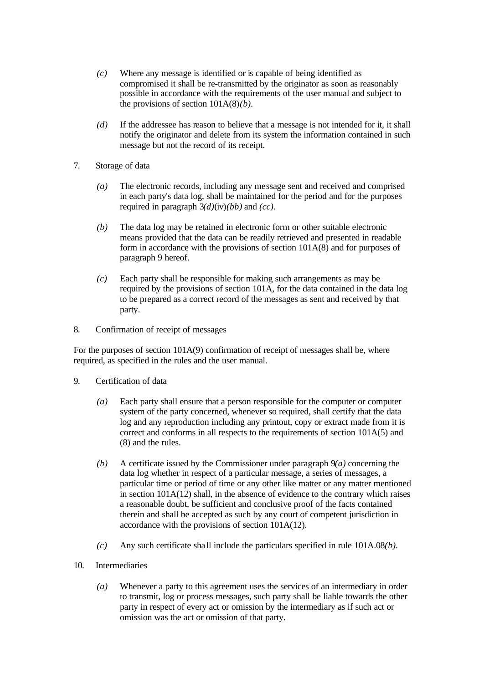- *(c)* Where any message is identified or is capable of being identified as compromised it shall be re-transmitted by the originator as soon as reasonably possible in accordance with the requirements of the user manual and subject to the provisions of section 101A(8)*(b).*
- *(d)* If the addressee has reason to believe that a message is not intended for it, it shall notify the originator and delete from its system the information contained in such message but not the record of its receipt.
- 7. Storage of data
	- *(a)* The electronic records, including any message sent and received and comprised in each party's data log, shall be maintained for the period and for the purposes required in paragraph 3*(d)*(iv)*(bb)* and *(cc)*.
	- *(b)* The data log may be retained in electronic form or other suitable electronic means provided that the data can be readily retrieved and presented in readable form in accordance with the provisions of section 101A(8) and for purposes of paragraph 9 hereof.
	- *(c)* Each party shall be responsible for making such arrangements as may be required by the provisions of section 101A, for the data contained in the data log to be prepared as a correct record of the messages as sent and received by that party.
- 8. Confirmation of receipt of messages

For the purposes of section 101A(9) confirmation of receipt of messages shall be, where required, as specified in the rules and the user manual.

- 9. Certification of data
	- *(a)* Each party shall ensure that a person responsible for the computer or computer system of the party concerned, whenever so required, shall certify that the data log and any reproduction including any printout, copy or extract made from it is correct and conforms in all respects to the requirements of section 101A(5) and (8) and the rules.
	- *(b)* A certificate issued by the Commissioner under paragraph 9*(a)* concerning the data log whether in respect of a particular message, a series of messages, a particular time or period of time or any other like matter or any matter mentioned in section 101A(12) shall, in the absence of evidence to the contrary which raises a reasonable doubt, be sufficient and conclusive proof of the facts contained therein and shall be accepted as such by any court of competent jurisdiction in accordance with the provisions of section 101A(12).
	- *(c)* Any such certificate sha ll include the particulars specified in rule 101A.08*(b).*
- 10. Intermediaries
	- *(a)* Whenever a party to this agreement uses the services of an intermediary in order to transmit, log or process messages, such party shall be liable towards the other party in respect of every act or omission by the intermediary as if such act or omission was the act or omission of that party.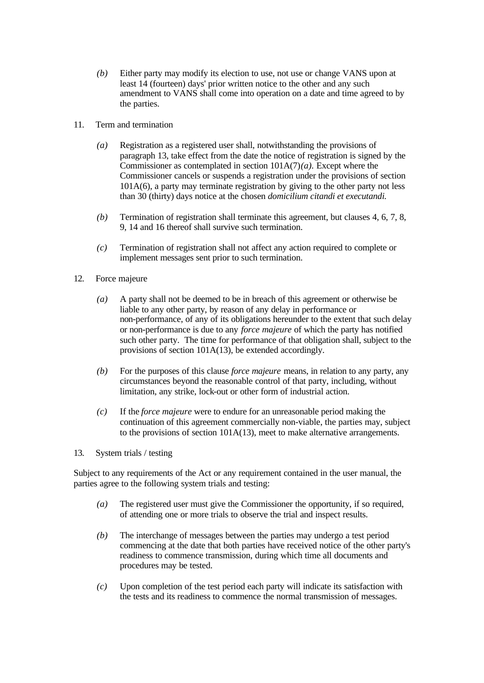- *(b)* Either party may modify its election to use, not use or change VANS upon at least 14 (fourteen) days' prior written notice to the other and any such amendment to VANS shall come into operation on a date and time agreed to by the parties.
- 11. Term and termination
	- *(a)* Registration as a registered user shall, notwithstanding the provisions of paragraph 13, take effect from the date the notice of registration is signed by the Commissioner as contemplated in section 101A(7)*(a).* Except where the Commissioner cancels or suspends a registration under the provisions of section 101A(6), a party may terminate registration by giving to the other party not less than 30 (thirty) days notice at the chosen *domicilium citandi et executandi.*
	- *(b)* Termination of registration shall terminate this agreement, but clauses 4, 6, 7, 8, 9, 14 and 16 thereof shall survive such termination.
	- *(c)* Termination of registration shall not affect any action required to complete or implement messages sent prior to such termination.
- 12. Force majeure
	- *(a)* A party shall not be deemed to be in breach of this agreement or otherwise be liable to any other party, by reason of any delay in performance or non-performance, of any of its obligations hereunder to the extent that such delay or non-performance is due to any *force majeure* of which the party has notified such other party. The time for performance of that obligation shall, subject to the provisions of section 101A(13), be extended accordingly.
	- *(b)* For the purposes of this clause *force majeure* means, in relation to any party, any circumstances beyond the reasonable control of that party, including, without limitation, any strike, lock-out or other form of industrial action.
	- *(c)* If the *force majeure* were to endure for an unreasonable period making the continuation of this agreement commercially non-viable, the parties may, subject to the provisions of section 101A(13), meet to make alternative arrangements.
- 13. System trials / testing

Subject to any requirements of the Act or any requirement contained in the user manual, the parties agree to the following system trials and testing:

- *(a)* The registered user must give the Commissioner the opportunity, if so required, of attending one or more trials to observe the trial and inspect results.
- *(b)* The interchange of messages between the parties may undergo a test period commencing at the date that both parties have received notice of the other party's readiness to commence transmission, during which time all documents and procedures may be tested.
- *(c)* Upon completion of the test period each party will indicate its satisfaction with the tests and its readiness to commence the normal transmission of messages.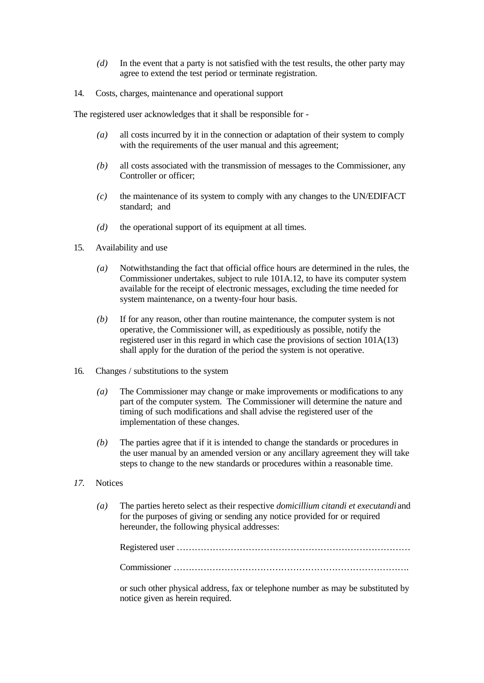- *(d)* In the event that a party is not satisfied with the test results, the other party may agree to extend the test period or terminate registration.
- 14. Costs, charges, maintenance and operational support

The registered user acknowledges that it shall be responsible for -

- *(a)* all costs incurred by it in the connection or adaptation of their system to comply with the requirements of the user manual and this agreement;
- *(b)* all costs associated with the transmission of messages to the Commissioner, any Controller or officer;
- *(c)* the maintenance of its system to comply with any changes to the UN/EDIFACT standard; and
- *(d)* the operational support of its equipment at all times.
- 15. Availability and use
	- *(a)* Notwithstanding the fact that official office hours are determined in the rules, the Commissioner undertakes, subject to rule 101A.12, to have its computer system available for the receipt of electronic messages, excluding the time needed for system maintenance, on a twenty-four hour basis.
	- *(b)* If for any reason, other than routine maintenance, the computer system is not operative, the Commissioner will, as expeditiously as possible, notify the registered user in this regard in which case the provisions of section 101A(13) shall apply for the duration of the period the system is not operative.
- 16. Changes / substitutions to the system
	- *(a)* The Commissioner may change or make improvements or modifications to any part of the computer system. The Commissioner will determine the nature and timing of such modifications and shall advise the registered user of the implementation of these changes.
	- *(b)* The parties agree that if it is intended to change the standards or procedures in the user manual by an amended version or any ancillary agreement they will take steps to change to the new standards or procedures within a reasonable time.
- *17.* Notices
	- *(a)* The parties hereto select as their respective *domicillium citandi et executandi* and for the purposes of giving or sending any notice provided for or required hereunder, the following physical addresses:

Registered user ……………………………………………………………………

Commissioner …………………………………………………………………….

or such other physical address, fax or telephone number as may be substituted by notice given as herein required.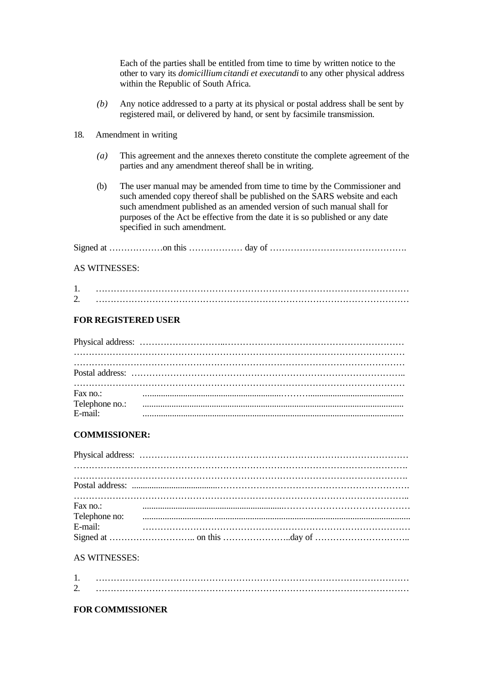Each of the parties shall be entitled from time to time by written notice to the other to vary its *domicilliumcitandi et executandi* to any other physical address within the Republic of South Africa.

- *(b)* Any notice addressed to a party at its physical or postal address shall be sent by registered mail, or delivered by hand, or sent by facsimile transmission.
- 18. Amendment in writing
	- *(a)* This agreement and the annexes thereto constitute the complete agreement of the parties and any amendment thereof shall be in writing.
	- (b) The user manual may be amended from time to time by the Commissioner and such amended copy thereof shall be published on the SARS website and each such amendment published as an amended version of such manual shall for purposes of the Act be effective from the date it is so published or any date specified in such amendment.

### AS WITNESSES:

| <b>L</b> |  |
|----------|--|

# **FOR REGISTERED USER**

| Fax no.:<br>Tax no.:<br>Telephone no.:<br>E-mail: |  |  |  |  |  |
|---------------------------------------------------|--|--|--|--|--|
|                                                   |  |  |  |  |  |

# **COMMISSIONER:**

| Fax no.: |                          |  |
|----------|--------------------------|--|
|          | Telephone no:<br>E-mail: |  |
|          |                          |  |

# AS WITNESSES:

| <u>.</u> |  |
|----------|--|

# **FOR COMMISSIONER**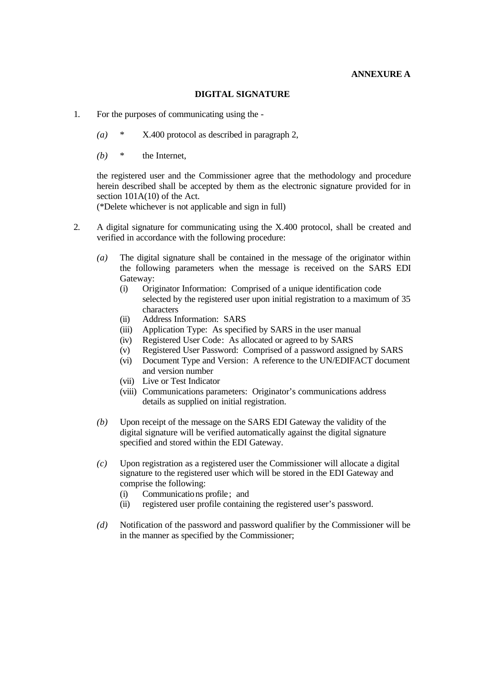# **ANNEXURE A**

## **DIGITAL SIGNATURE**

- 1. For the purposes of communicating using the
	- *(a)* \* X.400 protocol as described in paragraph 2,
	- *(b)* \* the Internet,

the registered user and the Commissioner agree that the methodology and procedure herein described shall be accepted by them as the electronic signature provided for in section 101A(10) of the Act.

(\*Delete whichever is not applicable and sign in full)

- 2. A digital signature for communicating using the X.400 protocol, shall be created and verified in accordance with the following procedure:
	- *(a)* The digital signature shall be contained in the message of the originator within the following parameters when the message is received on the SARS EDI Gateway:
		- (i) Originator Information: Comprised of a unique identification code selected by the registered user upon initial registration to a maximum of 35 characters
		- (ii) Address Information: SARS
		- (iii) Application Type: As specified by SARS in the user manual
		- (iv) Registered User Code: As allocated or agreed to by SARS
		- (v) Registered User Password: Comprised of a password assigned by SARS
		- (vi) Document Type and Version: A reference to the UN/EDIFACT document and version number
		- (vii) Live or Test Indicator
		- (viii) Communications parameters: Originator's communications address details as supplied on initial registration.
	- *(b)* Upon receipt of the message on the SARS EDI Gateway the validity of the digital signature will be verified automatically against the digital signature specified and stored within the EDI Gateway.
	- *(c)* Upon registration as a registered user the Commissioner will allocate a digital signature to the registered user which will be stored in the EDI Gateway and comprise the following:
		- (i) Communications profile; and
		- (ii) registered user profile containing the registered user's password.
	- *(d)* Notification of the password and password qualifier by the Commissioner will be in the manner as specified by the Commissioner;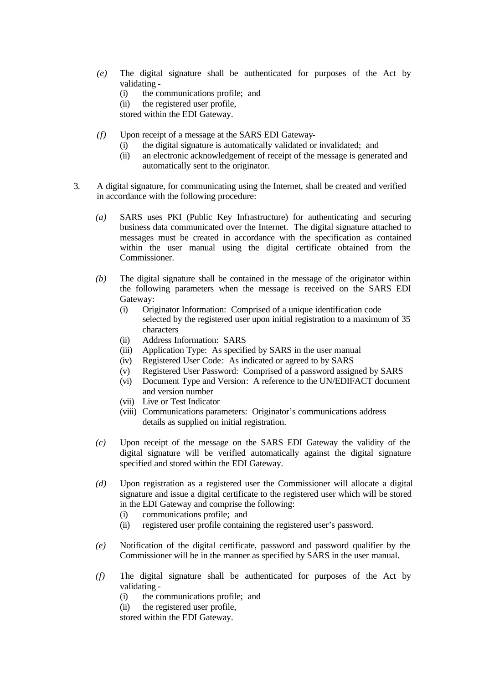- *(e)* The digital signature shall be authenticated for purposes of the Act by validating -
	- (i) the communications profile; and
	- (ii) the registered user profile,
	- stored within the EDI Gateway.
- *(f)* Upon receipt of a message at the SARS EDI Gateway-
	- (i) the digital signature is automatically validated or invalidated; and
	- (ii) an electronic acknowledgement of receipt of the message is generated and automatically sent to the originator.
- 3. A digital signature, for communicating using the Internet, shall be created and verified in accordance with the following procedure:
	- *(a)* SARS uses PKI (Public Key Infrastructure) for authenticating and securing business data communicated over the Internet. The digital signature attached to messages must be created in accordance with the specification as contained within the user manual using the digital certificate obtained from the Commissioner.
	- *(b)* The digital signature shall be contained in the message of the originator within the following parameters when the message is received on the SARS EDI Gateway:
		- (i) Originator Information: Comprised of a unique identification code selected by the registered user upon initial registration to a maximum of 35 characters
		- (ii) Address Information: SARS
		- (iii) Application Type: As specified by SARS in the user manual
		- (iv) Registered User Code: As indicated or agreed to by SARS
		- (v) Registered User Password: Comprised of a password assigned by SARS
		- (vi) Document Type and Version: A reference to the UN/EDIFACT document and version number
		- (vii) Live or Test Indicator
		- (viii) Communications parameters: Originator's communications address details as supplied on initial registration.
	- *(c)* Upon receipt of the message on the SARS EDI Gateway the validity of the digital signature will be verified automatically against the digital signature specified and stored within the EDI Gateway.
	- *(d)* Upon registration as a registered user the Commissioner will allocate a digital signature and issue a digital certificate to the registered user which will be stored in the EDI Gateway and comprise the following:
		- (i) communications profile; and
		- (ii) registered user profile containing the registered user's password.
	- *(e)* Notification of the digital certificate, password and password qualifier by the Commissioner will be in the manner as specified by SARS in the user manual.
	- *(f)* The digital signature shall be authenticated for purposes of the Act by validating -
		- (i) the communications profile; and
		- (ii) the registered user profile,

stored within the EDI Gateway.